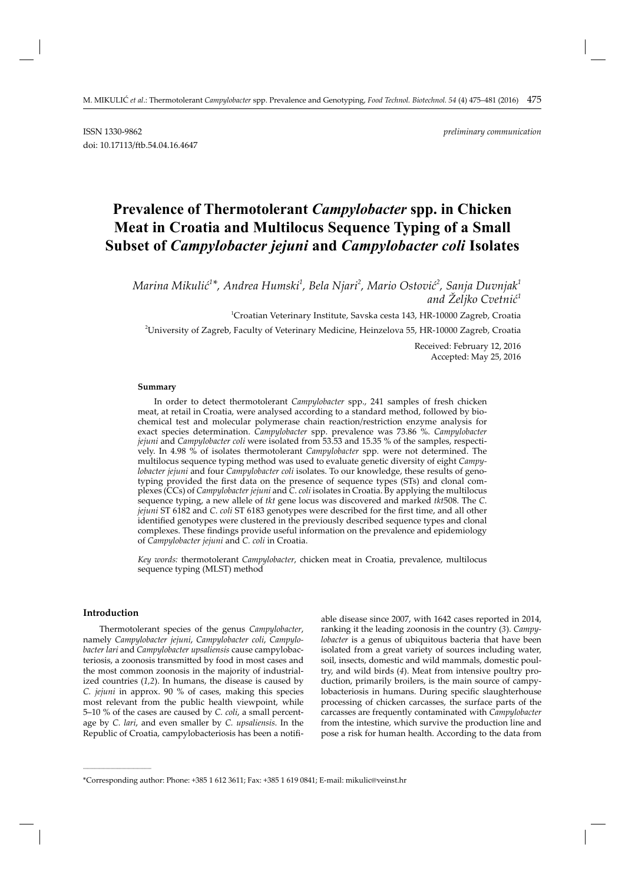# **Prevalence of Thermotolerant** *Campylobacter* **spp. in Chicken Meat in Croatia and Multilocus Sequence Typing of a Small Subset of** *Campylobacter jejuni* **and** *Campylobacter coli* **Isolates**

*Marina Mikulić 1 \*, Andrea Humski1 , Bela Njari<sup>2</sup> , Mario Ostović 2 , Sanja Duvnjak<sup>1</sup> and Željko Cvetnić 1*

1 Croatian Veterinary Institute, Savska cesta 143, HR-10000 Zagreb, Croatia

2 University of Zagreb, Faculty of Veterinary Medicine, Heinzelova 55, HR-10000 Zagreb, Croatia

Received: February 12, 2016 Accepted: May 25, 2016

#### **Summary**

In order to detect thermotolerant *Campylobacter* spp., 241 samples of fresh chicken meat, at retail in Croatia, were analysed according to a standard method, followed by biochemical test and molecular polymerase chain reaction/restriction enzyme analysis for exact species determination. *Campylobacter* spp. prevalence was 73.86 %. *Campylobacter jejuni* and *Campylobacter coli* were isolated from 53.53 and 15.35 % of the samples, respectively. In 4.98 % of isolates thermotolerant *Campylobacter* spp. were not determined. The multilocus sequence typing method was used to evaluate genetic diversity of eight *Campylobacter jejuni* and four *Campylobacter coli* isolates. To our knowledge, these results of genotyping provided the first data on the presence of sequence types (STs) and clonal complexes (CCs) of *Campylobacter jejuni* and *C*. *coli* isolates in Croatia. By applying the multilocus sequence typing, a new allele of *tkt* gene locus was discovered and marked *tkt*508. The *C*. *jejuni* ST 6182 and *C. coli* ST 6183 genotypes were described for the first time, and all other identified genotypes were clustered in the previously described sequence types and clonal complexes. These findings provide useful information on the prevalence and epidemiology of *Campylobacter jejuni* and *C. coli* in Croatia.

*Key words:* thermotolerant *Campylobacter*, chicken meat in Croatia, prevalence, multilocus sequence typing (MLST) method

# **Introduction**

**\_\_\_\_\_\_\_\_\_\_\_\_\_\_\_\_\_\_\_\_\_\_\_\_\_\_\_\_\_\_**

Thermotolerant species of the genus *Campylobacter*, namely *Campylobacter jejuni*, *Campylobacter coli*, *Campylobacter lari* and *Campylobacter upsaliensis* cause campylobacteriosis, a zoonosis transmitted by food in most cases and the most common zoonosis in the majority of industrialized countries (*1,2*). In humans, the disease is caused by *C. jejuni* in approx. 90 % of cases, making this species most relevant from the public health viewpoint, while 5–10 % of the cases are caused by *C. coli*, a small percentage by *C. lari*, and even smaller by *C. upsaliensis*. In the Republic of Croatia, campylobacteriosis has been a notifi-

able disease since 2007, with 1642 cases reported in 2014, ranking it the leading zoonosis in the country (*3*). *Campylobacter* is a genus of ubiquitous bacteria that have been isolated from a great variety of sources including water, soil, insects, domestic and wild mammals, domestic poultry, and wild birds (*4*). Meat from intensive poultry production, primarily broilers, is the main source of campylobacteriosis in humans. During specific slaughterhouse processing of chicken carcasses, the surface parts of the carcasses are frequently contaminated with *Campylobacter* from the intestine, which survive the production line and pose a risk for human health. According to the data from

<sup>\*</sup>Corresponding author: Phone: +385 1 612 3611; Fax: +385 1 619 0841; E-mail: mikulic@veinst.hr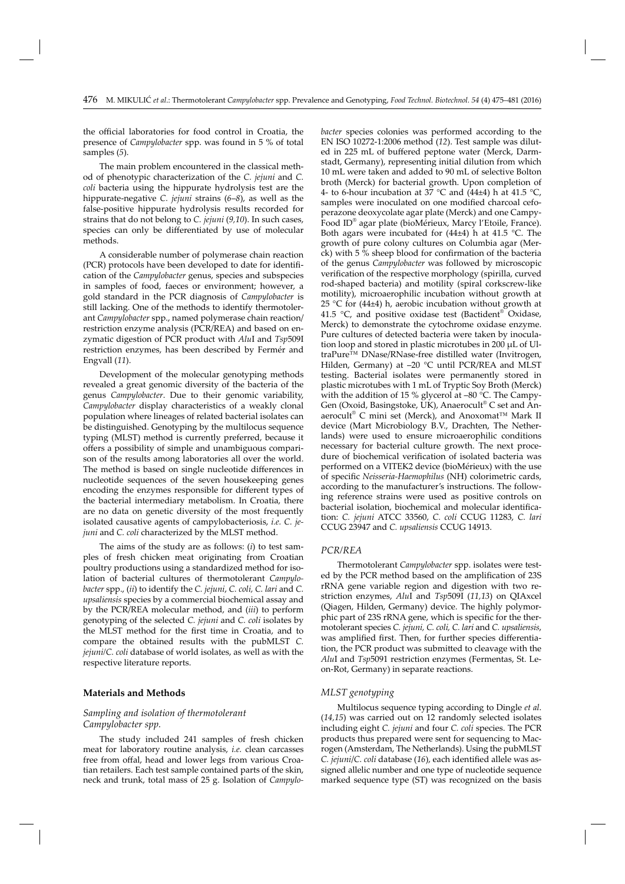the official laboratories for food control in Croatia, the presence of *Campylobacter* spp. was found in 5 % of total samples (*5*).

The main problem encountered in the classical method of phenotypic characterization of the *C. jejuni* and *C. coli* bacteria using the hippurate hydrolysis test are the hippurate-negative *C. jejuni* strains (*6*–*8*), as well as the false-positive hippurate hydrolysis results recorded for strains that do not belong to *C. jejuni* (*9,10*). In such cases, species can only be differentiated by use of molecular methods.

A considerable number of polymerase chain reaction (PCR) protocols have been developed to date for identification of the *Campylobacter* genus, species and subspecies in samples of food, faeces or environment; however, a gold standard in the PCR diagnosis of *Campylobacter* is still lacking. One of the methods to identify thermotolerant *Campylobacter* spp., named polymerase chain reaction/ restriction enzyme analysis (PCR/REA) and based on enzymatic digestion of PCR product with *Alu*I and *Tsp*509I restriction enzymes, has been described by Fermér and Engvall (*11*).

Development of the molecular genotyping methods revealed a great genomic diversity of the bacteria of the genus *Campylobacter*. Due to their genomic variability, *Campylobacter* display characteristics of a weakly clonal population where lineages of related bacterial isolates can be distinguished. Genotyping by the multilocus sequence typing (MLST) method is currently preferred, because it offers a possibility of simple and unambiguous comparison of the results among laboratories all over the world. The method is based on single nucleotide differences in nucleotide sequences of the seven housekeeping genes encoding the enzymes responsible for different types of the bacterial intermediary metabolism. In Croatia, there are no data on genetic diversity of the most frequently isolated causative agents of campylobacteriosis, *i.e. C. jejuni* and *C. coli* characterized by the MLST method.

The aims of the study are as follows: (*i*) to test samples of fresh chicken meat originating from Croatian poultry productions using a standardized method for isolation of bacterial cultures of thermotolerant *Campylobacter* spp., (*ii*) to identify the *C. jejuni*, *C. coli, C. lari* and *C. upsaliensis* species by a commercial biochemical assay and by the PCR/REA molecular method, and (*iii*) to perform genotyping of the selected *C. jejuni* and *C. coli* isolates by the MLST method for the first time in Croatia, and to compare the obtained results with the pubMLST *C. jejuni/C. coli* database of world isolates, as well as with the respective literature reports.

## **Materials and Methods**

## *Sampling and isolation of thermotolerant Campylobacter spp.*

The study included 241 samples of fresh chicken meat for laboratory routine analysis, *i.e.* clean carcasses free from offal, head and lower legs from various Croatian retailers. Each test sample contained parts of the skin, neck and trunk, total mass of 25 g. Isolation of *Campylo-* *bacter* species colonies was performed according to the EN ISO 10272-1:2006 method (*12*). Test sample was diluted in 225 mL of buffered peptone water (Merck, Darmstadt, Germany), representing initial dilution from which 10 mL were taken and added to 90 mL of selective Bolton broth (Merck) for bacterial growth. Upon completion of 4- to 6-hour incubation at  $3\bar{7}$  °C and (44±4) h at 41.5 °C, samples were inoculated on one modified charcoal cefoperazone deoxycolate agar plate (Merck) and one Campy-Food ID® agar plate (bioMérieux, Marcy l'Etoile, France). Both agars were incubated for  $(44\pm4)$  h at  $41.5$  °C. The growth of pure colony cultures on Columbia agar (Merck) with 5 % sheep blood for confirmation of the bacteria of the genus *Campylobacter* was followed by microscopic verification of the respective morphology (spirilla, curved rod-shaped bacteria) and motility (spiral corkscrew-like motility), microaerophilic incubation without growth at 25 °C for  $(44\pm4)$  h, aerobic incubation without growth at 41.5 °C, and positive oxidase test (Bactident® Oxidase, Merck) to demonstrate the cytochrome oxidase enzyme. Pure cultures of detected bacteria were taken by inoculation loop and stored in plastic microtubes in 200 μL of UltraPure™ DNase/RNase-free distilled water (Invitrogen, Hilden, Germany) at -20 °C until PCR/REA and MLST testing. Bacterial isolates were permanently stored in plastic microtubes with 1 mL of Tryptic Soy Broth (Merck) with the addition of 15 % glycerol at –80 °C. The Campy-Gen (Oxoid, Basingstoke, UK), Anaerocult® C set and Anaerocult® C mini set (Merck), and Anoxomat™ Mark II device (Mart Microbiology B.V., Drachten, The Netherlands) were used to ensure microaerophilic conditions necessary for bacterial culture growth. The next procedure of biochemical verification of isolated bacteria was performed on a VITEK2 device (bioMérieux) with the use of specific *Neisseria-Haemophilus* (NH) colorimetric cards, according to the manufacturer's instructions. The following reference strains were used as positive controls on bacterial isolation, biochemical and molecular identification: *C. jejuni* ATCC 33560, *C. coli* CCUG 11283, *C. lari* CCUG 23947 and *C. upsaliensis* CCUG 14913.

#### *PCR/REA*

Thermotolerant *Campylobacter* spp. isolates were tested by the PCR method based on the amplification of 23S rRNA gene variable region and digestion with two restriction enzymes, *Alu*I and *Tsp*509I (*11,13*) on QIAxcel (Qiagen, Hilden, Germany) device. The highly polymorphic part of 23S rRNA gene, which is specific for the thermotolerant species *C. jejuni, C. coli, C. lari* and *C. upsaliensis*, was amplified first. Then, for further species differentiation, the PCR product was submitted to cleavage with the *Alu*I and *Tsp*5091 restriction enzymes (Fermentas, St. Leon-Rot, Germany) in separate reactions.

### *MLST genotyping*

Multilocus sequence typing according to Dingle *et al*. (*14,15*) was carried out on 12 randomly selected isolates including eight *C. jejuni* and four *C. coli* species. The PCR products thus prepared were sent for sequencing to Macrogen (Amsterdam, The Netherlands). Using the pubMLST *C. jejuni/C. coli database (16), each identified allele was as*signed allelic number and one type of nucleotide sequence marked sequence type (ST) was recognized on the basis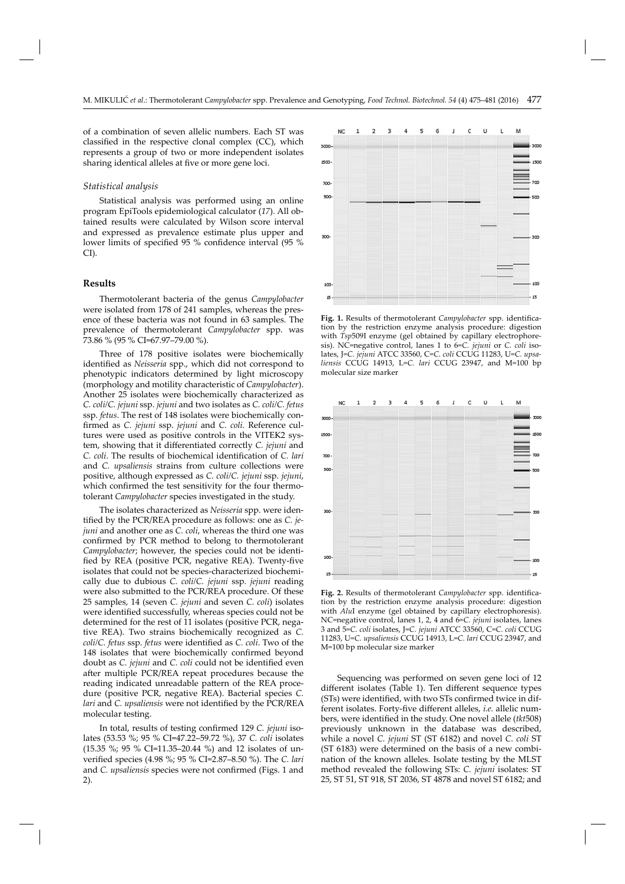of a combination of seven allelic numbers. Each ST was classified in the respective clonal complex  $(CC)$ , which represents a group of two or more independent isolates sharing identical alleles at five or more gene loci.

#### *Statistical analysis*

Statistical analysis was performed using an online program EpiTools epidemiological calculator (*17*). All obtained results were calculated by Wilson score interval and expressed as prevalence estimate plus upper and lower limits of specified 95 % confidence interval (95 % CI).

#### **Results**

Thermotolerant bacteria of the genus *Campylobacter* were isolated from 178 of 241 samples, whereas the presence of these bacteria was not found in 63 samples. The prevalence of thermotolerant *Campylobacter* spp. was 73.86 % (95 % CI=67.97–79.00 %).

Three of 178 positive isolates were biochemically identified as *Neisseria* spp., which did not correspond to phenotypic indicators determined by light microscopy (morphology and motility characteristic of *Campylobacter*). Another 25 isolates were biochemically characterized as *C. coli/C. jejuni* ssp. *jejuni* and two isolates as *C. coli/C. fetus* ssp. *fetus*. The rest of 148 isolates were biochemically confi rmed as *C. jejuni* ssp. *jejuni* and *C. coli*. Reference cultures were used as positive controls in the VITEK2 system, showing that it differentiated correctly *C. jejuni* and *C. coli.* The results of biochemical identification of *C. lari* and *C. upsaliensis* strains from culture collections were positive, although expressed as *C. coli/C. jejuni* ssp. *jejuni*, which confirmed the test sensitivity for the four thermotolerant *Campylobacter* species investigated in the study.

The isolates characterized as *Neisseria* spp. were identified by the PCR/REA procedure as follows: one as *C. jejuni* and another one as *C. coli*, whereas the third one was confirmed by PCR method to belong to thermotolerant *Campylobacter*; however, the species could not be identified by REA (positive PCR, negative REA). Twenty-five isolates that could not be species-characterized biochemically due to dubious *C. coli/C. jejuni* ssp. *jejuni* reading were also submitted to the PCR/REA procedure. Of these 25 samples, 14 (seven *C. jejuni* and seven *C. coli*) isolates were identified successfully, whereas species could not be determined for the rest of 11 isolates (positive PCR, negative REA). Two strains biochemically recognized as *C. coli/C. fetus ssp. fetus were identified as <i>C. coli*. Two of the 148 isolates that were biochemically confirmed beyond doubt as *C. jejuni* and *C. coli* could not be identified even after multiple PCR/REA repeat procedures because the reading indicated unreadable pattern of the REA procedure (positive PCR, negative REA). Bacterial species *C. lari* and *C. upsaliensis* were not identified by the PCR/REA molecular testing.

In total, results of testing confirmed 129 *C. jejuni* isolates (53.53 %; 95 % CI=47.22–59.72 %), 37 *C. coli* isolates (15.35 %; 95 % CI=11.35–20.44 %) and 12 isolates of unverified species (4.98 %; 95 % CI=2.87-8.50 %). The *C. lari* and *C. upsaliensis* species were not confirmed (Figs. 1 and 2).



Fig. 1. Results of thermotolerant *Campylobacter* spp. identification by the restriction enzyme analysis procedure: digestion with *Tsp*509I enzyme (gel obtained by capillary electrophoresis). NC=negative control, lanes 1 to 6=*C. jejuni* or *C. coli* isolates, J=*C. jejuni* ATCC 33560, C=*C. coli* CCUG 11283, U=*C. upsaliensis* CCUG 14913, L=*C. lari* CCUG 23947, and M=100 bp molecular size marker



Fig. 2. Results of thermotolerant *Campylobacter* spp. identification by the restriction enzyme analysis procedure: digestion with *Alu*I enzyme (gel obtained by capillary electrophoresis). NC=negative control, lanes 1, 2, 4 and 6=*C. jejuni* isolates, lanes 3 and 5=*C. coli* isolates, J=*C. jejuni* ATCC 33560, C=*C. coli* CCUG 11283, U=*C. upsaliensis* CCUG 14913, L=*C. lari* CCUG 23947, and M=100 bp molecular size marker

Sequencing was performed on seven gene loci of 12 different isolates (Table 1). Ten different sequence types (STs) were identified, with two STs confirmed twice in different isolates. Forty-five different alleles, *i.e.* allelic numbers, were identified in the study. One novel allele *(tkt*508) previously unknown in the database was described, while a novel *C. jejuni* ST (ST 6182) and novel *C. coli* ST (ST 6183) were determined on the basis of a new combination of the known alleles. Isolate testing by the MLST method revealed the following STs: *C. jejuni* isolates: ST 25, ST 51, ST 918, ST 2036, ST 4878 and novel ST 6182; and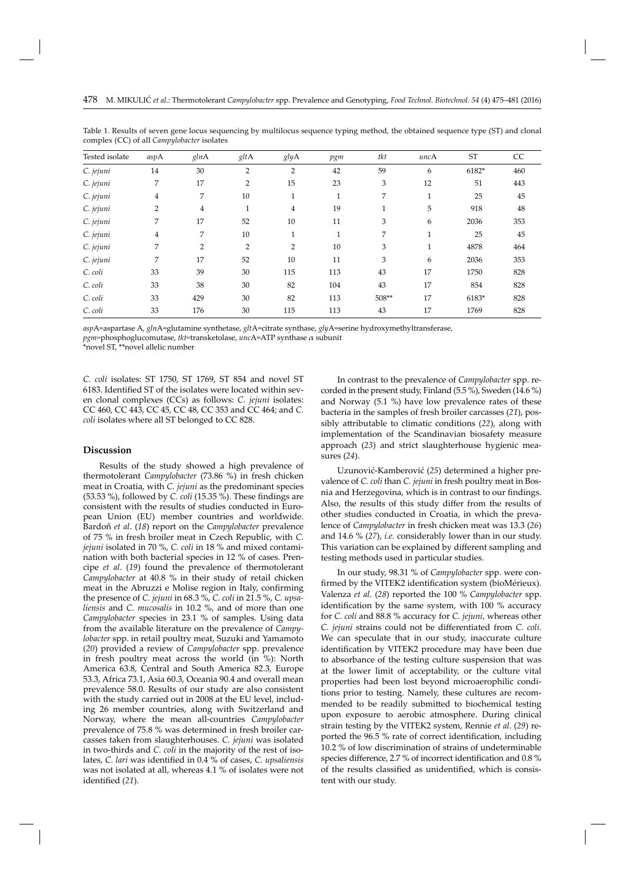| Tested isolate | aspA           | glnA           | gltA           | glyA           | pgm          | tkt   | uncA         | <b>ST</b> | CC  |
|----------------|----------------|----------------|----------------|----------------|--------------|-------|--------------|-----------|-----|
| C. jejuni      | 14             | 30             | $\overline{2}$ | 2              | 42           | 59    | 6            | 6182*     | 460 |
| C. jejuni      | 7              | 17             | 2              | 15             | 23           | 3     | 12           | 51        | 443 |
| C. jejuni      | 4              | 7              | 10             | $\mathbf{1}$   | $\mathbf{1}$ | 7     | $\mathbf{1}$ | 25        | 45  |
| C. jejuni      | $\overline{2}$ | $\overline{4}$ | 1              | $\overline{4}$ | 19           | 1     | 5            | 918       | 48  |
| C. jejuni      | 7              | 17             | 52             | 10             | 11           | 3     | 6            | 2036      | 353 |
| C. jejuni      | 4              | 7              | 10             | $\mathbf{1}$   | $\mathbf{1}$ | 7     | $\mathbf{1}$ | 25        | 45  |
| C. jejuni      | 7              | $\overline{2}$ | 2              | 2              | 10           | 3     | $\mathbf{1}$ | 4878      | 464 |
| C. jejuni      | 7              | 17             | 52             | 10             | 11           | 3     | 6            | 2036      | 353 |
| C. coli        | 33             | 39             | 30             | 115            | 113          | 43    | 17           | 1750      | 828 |
| C. coli        | 33             | 38             | 30             | 82             | 104          | 43    | 17           | 854       | 828 |
| C. coli        | 33             | 429            | 30             | 82             | 113          | 508** | 17           | 6183*     | 828 |
| C. coli        | 33             | 176            | 30             | 115            | 113          | 43    | 17           | 1769      | 828 |

Table 1. Results of seven gene locus sequencing by multilocus sequence typing method, the obtained sequence type (ST) and clonal complex (CC) of all *Campylobacter* isolates

*asp*A=aspartase A, *gln*A=glutamine synthetase, *glt*A=citrate synthase, *gly*A=serine hydroxymethyltransferase,

*pgm=*phosphoglucomutase, *tkt=*transketolase, *unc*A=ATP synthase α subunit

\*novel ST, \*\*novel allelic number

*C. coli* isolates: ST 1750, ST 1769, ST 854 and novel ST 6183. Identified ST of the isolates were located within seven clonal complexes (CCs) as follows: *C. jejuni* isolates: CC 460, CC 443, CC 45, CC 48, CC 353 and CC 464; and *C. coli* isolates where all ST belonged to CC 828.

## **Discussion**

Results of the study showed a high prevalence of thermotolerant *Campylobacter* (73.86 %) in fresh chicken meat in Croatia, with *C. jejuni* as the predominant species  $(53.53 \%)$ , followed by *C. coli*  $(15.35 \%)$ . These findings are consistent with the results of studies conducted in European Union (EU) member countries and worldwide. Bardoň *et al*. (*18*) report on the *Campylobacter* prevalence of 75 % in fresh broiler meat in Czech Republic, with *C. jejuni* isolated in 70 %, *C. coli* in 18 % and mixed contamination with both bacterial species in 12 % of cases. Prencipe *et al*. (*19*) found the prevalence of thermotolerant *Campylobacter* at 40.8 % in their study of retail chicken meat in the Abruzzi e Molise region in Italy, confirming the presence of *C. jejuni* in 68.3 %, *C. coli* in 21.5 %, *C. upsaliensis* and *C. mucosalis* in 10.2 %, and of more than one *Campylobacter* species in 23.1 % of samples. Using data from the available literature on the prevalence of *Campylobacter* spp. in retail poultry meat, Suzuki and Yamamoto (*20*) provided a review of *Campylobacter* spp. prevalence in fresh poultry meat across the world (in %): North America 63.8, Central and South America 82.3, Europe 53.3, Africa 73.1, Asia 60.3, Oceania 90.4 and overall mean prevalence 58.0. Results of our study are also consistent with the study carried out in 2008 at the EU level, including 26 member countries, along with Switzerland and Norway, where the mean all-countries *Campylobacter* prevalence of 75.8 % was determined in fresh broiler carcasses taken from slaughterhouses. *C. jejuni* was isolated in two-thirds and *C. coli* in the majority of the rest of isolates, *C. lari* was identified in 0.4 % of cases, *C. upsaliensis* was not isolated at all, whereas 4.1 % of isolates were not identified (21).

In contrast to the prevalence of *Campylobacter* spp. recorded in the present study, Finland (5.5 %), Sweden (14.6 %) and Norway (5.1 %) have low prevalence rates of these bacteria in the samples of fresh broiler carcasses (*21*), possibly att ributable to climatic conditions (*22*), along with implementation of the Scandinavian biosafety measure approach (*23*) and strict slaughterhouse hygienic measures (*24*).

Uzunović-Kamberović (*25*) determined a higher preva lence of *C. coli* than *C. jejuni* in fresh poultry meat in Bosnia and Herzegovina, which is in contrast to our findings. Also, the results of this study differ from the results of other studies conducted in Croatia, in which the prevalence of *Campylobacter* in fresh chicken meat was 13.3 (*26*) and 14.6 % (*27*), *i.e.* considerably lower than in our study. This variation can be explained by different sampling and testing methods used in particular studies.

In our study, 98.31 % of *Campylobacter* spp. were confirmed by the VITEK2 identification system (bioMérieux). Valenza *et al*. (*28*) reported the 100 % *Campylobacter* spp. identification by the same system, with 100 % accuracy for *C. coli* and 88.8 % accuracy for *C. jejuni*, whereas other *C. jejuni* strains could not be differentiated from *C. coli*. We can speculate that in our study, inaccurate culture identification by VITEK2 procedure may have been due to absorbance of the testing culture suspension that was at the lower limit of acceptability, or the culture vital properties had been lost beyond microaerophilic conditions prior to testing. Namely, these cultures are recommended to be readily submitted to biochemical testing upon exposure to aerobic atmosphere. During clinical strain testing by the VITEK2 system, Rennie *et al*. (*29*) reported the 96.5 % rate of correct identification, including 10.2 % of low discrimination of strains of undeterminable species difference, 2.7 % of incorrect identification and 0.8 % of the results classified as unidentified, which is consistent with our study.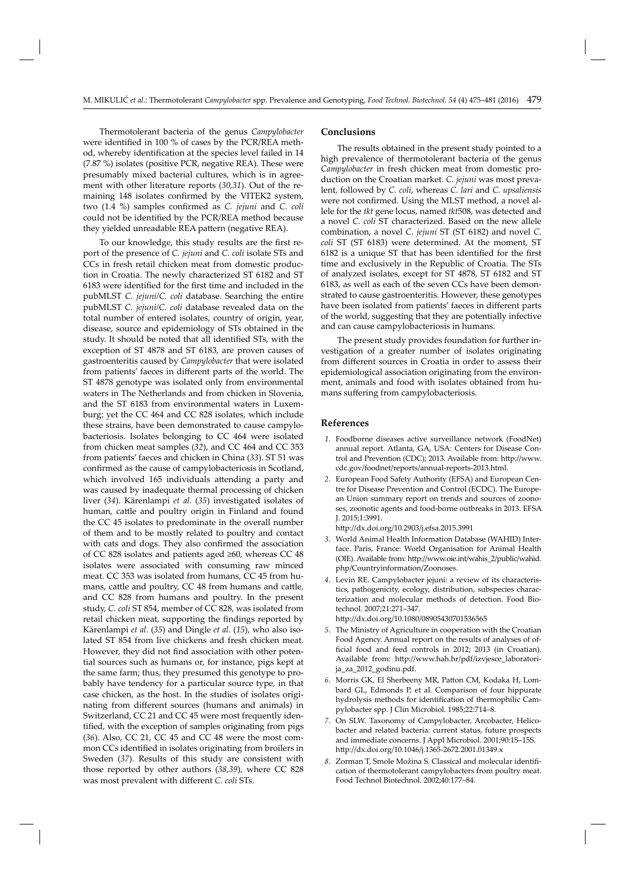Thermotolerant bacteria of the genus *Campylobacter* were identified in 100 % of cases by the PCR/REA method, whereby identification at the species level failed in 14 (7.87 %) isolates (positive PCR, negative REA). These were presumably mixed bacterial cultures, which is in agreement with other literature reports (*30,31*). Out of the remaining 148 isolates confirmed by the VITEK2 system, two (1.4 %) samples confirmed as *C. jejuni* and *C. coli* could not be identified by the PCR/REA method because they yielded unreadable REA pattern (negative REA).

To our knowledge, this study results are the first report of the presence of *C. jejuni* and *C. coli* isolate STs and CCs in fresh retail chicken meat from domestic production in Croatia. The newly characterized ST 6182 and ST 6183 were identified for the first time and included in the pubMLST *C. jejuni/C. coli* database. Searching the entire pubMLST *C. jejuni/C. coli* database revealed data on the total number of entered isolates, country of origin, year, disease, source and epidemiology of STs obtained in the study. It should be noted that all identified STs, with the exception of ST 4878 and ST 6183, are proven causes of gastroenteritis caused by *Campylobacter* that were isolated from patients' faeces in different parts of the world. The ST 4878 genotype was isolated only from environmental waters in The Netherlands and from chicken in Slovenia, and the ST 6183 from environmental waters in Luxemburg; yet the CC 464 and CC 828 isolates, which include these strains, have been demonstrated to cause campylobacteriosis. Isolates belonging to CC 464 were isolated from chicken meat samples (*32*), and CC 464 and CC 353 from patients' faeces and chicken in China (*33*). ST 51 was confirmed as the cause of campylobacteriosis in Scotland, which involved 165 individuals attending a party and was caused by inadequate thermal processing of chicken liver (*34*). Kärenlampi *et al*. (*35*) investigated isolates of human, cattle and poultry origin in Finland and found the CC 45 isolates to predominate in the overall number of them and to be mostly related to poultry and contact with cats and dogs. They also confirmed the association of CC 828 isolates and patients aged ≥60, whereas CC 48 isolates were associated with consuming raw minced meat. CC 353 was isolated from humans, CC 45 from humans, cattle and poultry, CC 48 from humans and cattle, and CC 828 from humans and poultry. In the present study, *C. coli* ST 854, member of CC 828, was isolated from retail chicken meat, supporting the findings reported by Kärenlampi *et al*. (*35*) and Dingle *et al*. (*15*), who also isolated ST 854 from live chickens and fresh chicken meat. However, they did not find association with other potential sources such as humans or, for instance, pigs kept at the same farm; thus, they presumed this genotype to probably have tendency for a particular source type, in that case chicken, as the host. In the studies of isolates originating from different sources (humans and animals) in Switzerland, CC 21 and CC 45 were most frequently identified, with the exception of samples originating from pigs (*36*). Also, CC 21, CC 45 and CC 48 were the most common CCs identified in isolates originating from broilers in Sweden (*37*). Results of this study are consistent with those reported by other authors (*38,39*), where CC 828 was most prevalent with different *C. coli* STs.

## **Conclusions**

The results obtained in the present study pointed to a high prevalence of thermotolerant bacteria of the genus *Campylobacter* in fresh chicken meat from domestic production on the Croatian market. *C. jejuni* was most prevalent, followed by *C. coli*, whereas *C. lari* and *C. upsaliensis* were not confirmed. Using the MLST method, a novel allele for the *tkt* gene locus, named *tkt*508, was detected and a novel *C. coli* ST characterized. Based on the new allele combination, a novel *C. jejuni* ST (ST 6182) and novel *C. coli* ST (ST 6183) were determined. At the moment, ST 6182 is a unique ST that has been identified for the first time and exclusively in the Republic of Croatia. The STs of analyzed isolates, except for ST 4878, ST 6182 and ST 6183, as well as each of the seven CCs have been demonstrated to cause gastroenteritis. However, these genotypes have been isolated from patients' faeces in different parts of the world, suggesting that they are potentially infective and can cause campylobacteriosis in humans.

The present study provides foundation for further investigation of a greater number of isolates originating from different sources in Croatia in order to assess their epidemiological association originating from the environment, animals and food with isolates obtained from humans suffering from campylobacteriosis.

### **References**

- *1*. Foodborne diseases active surveillance network (FoodNet) annual report. Atlanta, GA, USA: Centers for Disease Control and Prevention (CDC); 2013. Available from: http://www. cdc.gov/foodnet/reports/annual-reports-2013.html.
- *2*. European Food Safety Authority (EFSA) and European Centre for Disease Prevention and Control (ECDC). The European Union summary report on trends and sources of zoonoses, zoonotic agents and food-borne outbreaks in 2013. EFSA J. 2015;1:3991.

http://dx.doi.org/10.2903/j.efsa.2015.3991

- *3*. World Animal Health Information Database (WAHID) Interface. Paris, France: World Organisation for Animal Health (OIE). Available from: http://www.oie.int/wahis\_2/public/wahid. php/Countryinformation/Zoonoses.
- *4*. Levin RE. Campylobacter jejuni: a review of its characteristics, pathogenicity, ecology, distribution, subspecies characterization and molecular methods of detection. Food Biotechnol. 2007;21:271–347.

http://dx.doi.org/10.1080/08905430701536565

- *5*. The Ministry of Agriculture in cooperation with the Croatian Food Agency. Annual report on the results of analyses of official food and feed controls in 2012; 2013 (in Croatian). Available from: http://www.hah.hr/pdf/izvjesce laboratorija\_za\_2012\_godinu.pdf.
- 6. Morris GK, El Sherbeeny MR, Patton CM, Kodaka H, Lombard GL, Edmonds P, et al. Comparison of four hippurate hydrolysis methods for identification of thermophilic Campylobacter spp. J Clin Microbiol. 1985;22:714–8.
- *7*. On SLW. Taxonomy of Campylobacter, Arcobacter, Helicobacter and related bacteria: current status, future prospects and immediate concerns. J Appl Microbiol. 2001;90:1S–15S. http://dx.doi.org/10.1046/j.1365-2672.2001.01349.x
- *8*. Zorman T, Smole Možina S. Classical and molecular identifi cation of thermotolerant campylobacters from poultry meat. Food Technol Biotechnol. 2002;40:177–84.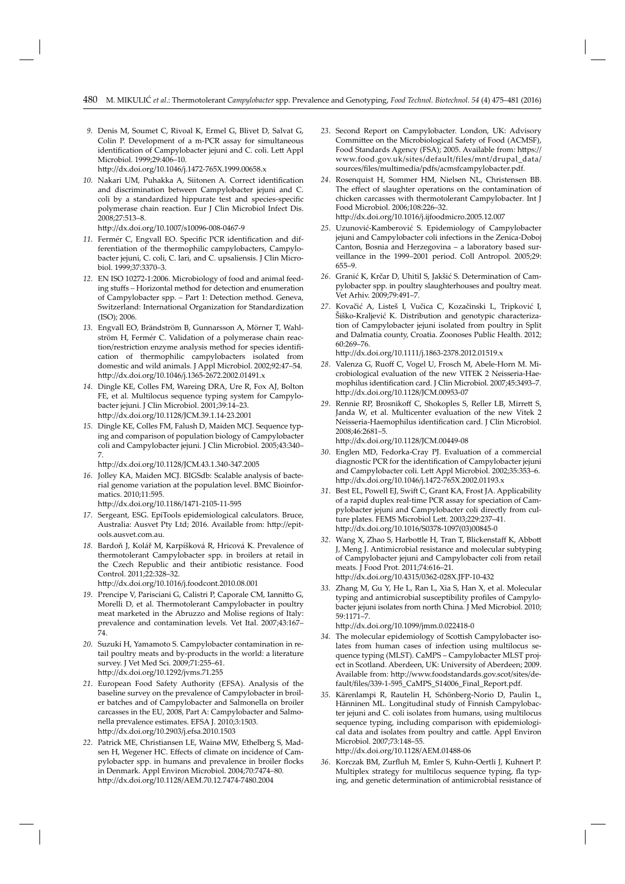*9*. Denis M, Soumet C, Rivoal K, Ermel G, Blivet D, Salvat G, Colin P. Development of a m-PCR assay for simultaneous identification of Campylobacter jejuni and C. coli. Lett Appl Microbiol. 1999;29:406–10.

http://dx.doi.org/10.1046/j.1472-765X.1999.00658.x

10. Nakari UM, Puhakka A, Siitonen A. Correct identification and discrimination between Campylobacter jejuni and C. coli by a standardized hippurate test and species-specific polymerase chain reaction. Eur J Clin Microbiol Infect Dis. 2008;27:513–8.

http://dx.doi.org/10.1007/s10096-008-0467-9

- 11. Fermér C, Engvall EO. Specific PCR identification and differentiation of the thermophilic campylobacters, Campylobacter jejuni, C. coli, C. lari, and C. upsaliensis. J Clin Microbiol. 1999;37:3370–3.
- *12*. EN ISO 10272-1:2006. Microbiology of food and animal feeding stuffs - Horizontal method for detection and enumeration of Campylobacter spp. – Part 1: Detection method. Geneva, Switzerland: International Organization for Standardization (ISO); 2006.
- *13*. Engvall EO, Brändström B, Gunnarsson A, Mörner T, Wahlström H, Fermér C. Validation of a polymerase chain reaction/restriction enzyme analysis method for species identification of thermophilic campylobacters isolated from domestic and wild animals. J Appl Microbiol. 2002;92:47–54. http://dx.doi.org/10.1046/j.1365-2672.2002.01491.x
- *14*. Dingle KE, Colles FM, Wareing DRA, Ure R, Fox AJ, Bolton FE, et al. Multilocus sequence typing system for Campylobacter jejuni. J Clin Microbiol. 2001;39:14–23. htt p://dx.doi.org/10.1128/JCM.39.1.14-23.2001
- *15*. Dingle KE, Colles FM, Falush D, Maiden MCJ. Sequence typing and comparison of population biology of Campylobacter coli and Campylobacter jejuni. J Clin Microbiol. 2005;43:340– 7.

http://dx.doi.org/10.1128/JCM.43.1.340-347.2005

*16*. Jolley KA, Maiden MCJ. BIGSdb: Scalable analysis of bacterial genome variation at the population level. BMC Bioinformatics. 2010;11:595.

http://dx.doi.org/10.1186/1471-2105-11-595

- *17*. Sergeant, ESG. EpiTools epidemiological calculators. Bruce, Australia: Ausvet Pty Ltd; 2016. Available from: http://epitools.ausvet.com.au.
- *18.* Bardoň J, Kolář M, Karpíšková R, Hricová K. Prevalence of thermotolerant Campylobacter spp. in broilers at retail in the Czech Republic and their antibiotic resistance. Food Control. 2011;22:328–32.

http://dx.doi.org/10.1016/j.foodcont.2010.08.001

- 19. Prencipe V, Parisciani G, Calistri P, Caporale CM, Iannitto G, Morelli D, et al. Thermotolerant Campylobacter in poultry meat marketed in the Abruzzo and Molise regions of Italy: prevalence and contamination levels. Vet Ital. 2007;43:167– 74.
- *20*. Suzuki H, Yamamoto S. Campylobacter contamination in retail poultry meats and by-products in the world: a literature survey. J Vet Med Sci. 2009;71:255–61. http://dx.doi.org/10.1292/jvms.71.255
- *21*. European Food Safety Authority (EFSA). Analysis of the baseline survey on the prevalence of Campylobacter in broiler batches and of Campylobacter and Salmonella on broiler carcasses in the EU, 2008, Part A: Campylobacter and Salmonella prevalence estimates. EFSA J. 2010;3:1503. http://dx.doi.org/10.2903/j.efsa.2010.1503
- *22*. Patrick ME, Christiansen LE, Wainø MW, Ethelberg S, Madsen H, Wegener HC. Effects of climate on incidence of Campylobacter spp. in humans and prevalence in broiler flocks in Denmark. Appl Environ Microbiol. 2004;70:7474–80. http://dx.doi.org/10.1128/AEM.70.12.7474-7480.2004
- *23*. Second Report on Campylobacter. London, UK: Advisory Committee on the Microbiological Safety of Food (ACMSF), Food Standards Agency (FSA); 2005. Available from: https:// www.food.gov.uk/sites/default/files/mnt/drupal\_data/ sources/fi les/multimedia/pdfs/acmsfcampylobacter.pdf.
- *24*. Rosenquist H, Sommer HM, Nielsen NL, Christensen BB. The effect of slaughter operations on the contamination of chicken carcasses with thermotolerant Campylobacter*.* Int J Food Microbiol. 2006;108:226–32. htt p://dx.doi.org/10.1016/j.ij foodmicro.2005.12.007
- *25*. Uzunović-Kamberović S. Epidemiology of Campylobacter jejuni and Campylobacter coli infections in the Zenica-Doboj Canton, Bosnia and Herzegovina – a laboratory based surveillance in the 1999–2001 period. Coll Antropol. 2005;29: 655–9.
- *26*. Granić K, Krčar D, Uhitil S, Jakšić S. Determination of Campylobacter spp. in poultry slaughterhouses and poultry meat. Vet Arhiv. 2009;79:491–7.
- *27*. Kovačić A, Listeš I, Vučica C, Kozačinski L, Tripković I, Šiško-Kraljević K. Distribution and genotypic characterization of Campylobacter jejuni isolated from poultry in Split and Dalmatia county, Croatia. Zoonoses Public Health. 2012; 60:269–76.

http://dx.doi.org/10.1111/j.1863-2378.2012.01519.x

- *28*. Valenza G, Ruoff C, Vogel U, Frosch M, Abele-Horn M. Microbiological evaluation of the new VITEK 2 Neisseria-Haemophilus identification card. J Clin Microbiol. 2007;45:3493-7. http://dx.doi.org/10.1128/JCM.00953-07
- *29*. Rennie RP, Brosnikoff C, Shokoples S, Reller LB, Mirrett S, Janda W, et al. Multicenter evaluation of the new Vitek 2 Neisseria-Haemophilus identification card. J Clin Microbiol. 2008;46:2681–5.

http://dx.doi.org/10.1128/JCM.00449-08

- *30*. Englen MD, Fedorka-Cray PJ. Evaluation of a commercial diagnostic PCR for the identification of Campylobacter jejuni and Campylobacter coli. Lett Appl Microbiol. 2002;35:353–6. http://dx.doi.org/10.1046/j.1472-765X.2002.01193.x
- *31*. Best EL, Powell EJ, Swift C, Grant KA, Frost JA. Applicability of a rapid duplex real-time PCR assay for speciation of Campylobacter jejuni and Campylobacter coli directly from culture plates. FEMS Microbiol Lett. 2003;229:237–41. http://dx.doi.org/10.1016/S0378-1097(03)00845-0
- 32. Wang X, Zhao S, Harbottle H, Tran T, Blickenstaff K, Abbott J, Meng J. Antimicrobial resistance and molecular subtyping of Campylobacter jejuni and Campylobacter coli from retail meats. J Food Prot. 2011;74:616–21. http://dx.doi.org/10.4315/0362-028X.JFP-10-432
- *33*. Zhang M, Gu Y, He L, Ran L, Xia S, Han X, et al. Molecular typing and antimicrobial susceptibility profiles of Campylobacter jejuni isolates from north China. J Med Microbiol. 2010; 59:1171–7.

http://dx.doi.org/10.1099/jmm.0.022418-0

- 34. The molecular epidemiology of Scottish Campylobacter isolates from human cases of infection using multilocus sequence typing (MLST). CaMPS – Campylobacter MLST project in Scotland. Aberdeen, UK: University of Aberdeen; 2009. Available from: http://www.foodstandards.gov.scot/sites/default/fi les/339-1-595\_CaMPS\_S14006\_Final\_Report.pdf.
- *35*. Kärenlampi R, Rautelin H, Sch önberg-Norio D, Paulin L, Hänninen ML. Longitudinal study of Finnish Campylobacter jejuni and C. coli isolates from humans, using multilocus sequence typing, including comparison with epidemiological data and isolates from poultry and cattle. Appl Environ Microbiol. 2007;73:148–55.

http://dx.doi.org/10.1128/AEM.01488-06

36. Korczak BM, Zurfluh M, Emler S, Kuhn-Oertli J, Kuhnert P. Multiplex strategy for multilocus sequence typing, fla typing, and genetic determination of antimicrobial resistance of